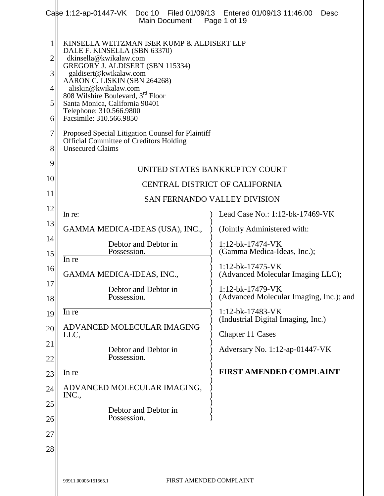|                                           | Case 1:12-ap-01447-VK  Doc 10  Filed 01/09/13  Entered 01/09/13  11:46:00<br><b>Main Document</b>                                                                                                                                                                                                                                                                                                                                                                                              | Desc<br>Page 1 of 19                                                       |  |
|-------------------------------------------|------------------------------------------------------------------------------------------------------------------------------------------------------------------------------------------------------------------------------------------------------------------------------------------------------------------------------------------------------------------------------------------------------------------------------------------------------------------------------------------------|----------------------------------------------------------------------------|--|
| 1<br>2<br>3<br>4<br>5<br>6<br>7<br>8<br>9 | KINSELLA WEITZMAN ISER KUMP & ALDISERT LLP<br>DALE F. KINSELLA (SBN 63370)<br>dkinsella@kwikalaw.com<br>GREGORY J. ALDISERT (SBN 115334)<br>galdisert@kwikalaw.com<br>AARON C. LISKIN (SBN 264268)<br>aliskin@kwikalaw.com<br>808 Wilshire Boulevard, 3 <sup>rd</sup> Floor<br>Santa Monica, California 90401<br>Telephone: 310.566.9800<br>Facsimile: 310.566.9850<br>Proposed Special Litigation Counsel for Plaintiff<br>Official Committee of Creditors Holding<br><b>Unsecured Claims</b> | UNITED STATES BANKRUPTCY COURT                                             |  |
| 10                                        |                                                                                                                                                                                                                                                                                                                                                                                                                                                                                                | <b>CENTRAL DISTRICT OF CALIFORNIA</b>                                      |  |
| 11                                        | <b>SAN FERNANDO VALLEY DIVISION</b>                                                                                                                                                                                                                                                                                                                                                                                                                                                            |                                                                            |  |
| 12                                        | In re:                                                                                                                                                                                                                                                                                                                                                                                                                                                                                         | Lead Case No.: 1:12-bk-17469-VK                                            |  |
| 13                                        | GAMMA MEDICA-IDEAS (USA), INC.,                                                                                                                                                                                                                                                                                                                                                                                                                                                                | (Jointly Administered with:                                                |  |
| 14<br>15                                  | Debtor and Debtor in<br>Possession.                                                                                                                                                                                                                                                                                                                                                                                                                                                            | $1:12-bk-17474-VK$<br>(Gamma Medica-Ideas, Inc.);                          |  |
| 16                                        | In re<br>GAMMA MEDICA-IDEAS, INC.,                                                                                                                                                                                                                                                                                                                                                                                                                                                             | $1:12-bk-17475-VK$<br>(Advanced Molecular Imaging LLC);                    |  |
| 17<br>18                                  | Debtor and Debtor in<br>Possession.                                                                                                                                                                                                                                                                                                                                                                                                                                                            | $1:12-bk-17479-VK$<br>(Advanced Molecular Imaging, Inc.); and              |  |
| 19<br>20                                  | In re<br>ADVANCED MOLECULAR IMAGING<br>LLC,                                                                                                                                                                                                                                                                                                                                                                                                                                                    | 1:12-bk-17483-VK<br>(Industrial Digital Imaging, Inc.)<br>Chapter 11 Cases |  |
| 21<br>22                                  | Debtor and Debtor in<br>Possession.                                                                                                                                                                                                                                                                                                                                                                                                                                                            | Adversary No. 1:12-ap-01447-VK                                             |  |
| 23                                        | In re                                                                                                                                                                                                                                                                                                                                                                                                                                                                                          | <b>FIRST AMENDED COMPLAINT</b>                                             |  |
| 24                                        | ADVANCED MOLECULAR IMAGING,<br>INC.,                                                                                                                                                                                                                                                                                                                                                                                                                                                           |                                                                            |  |
| 25<br>26                                  | Debtor and Debtor in<br>Possession.                                                                                                                                                                                                                                                                                                                                                                                                                                                            |                                                                            |  |
| 27                                        |                                                                                                                                                                                                                                                                                                                                                                                                                                                                                                |                                                                            |  |
| 28                                        |                                                                                                                                                                                                                                                                                                                                                                                                                                                                                                |                                                                            |  |
|                                           | FIRST AMENDED COMPLAINT<br>99911.00005/151565.1                                                                                                                                                                                                                                                                                                                                                                                                                                                |                                                                            |  |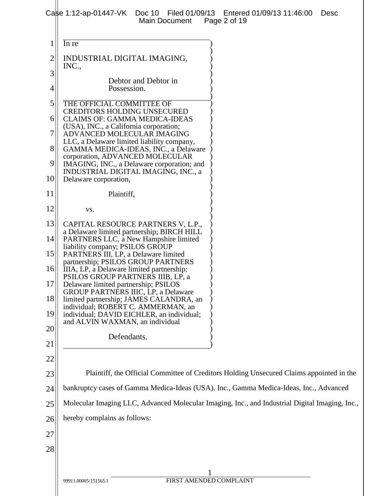| 1              | In re                                                                                                                |                                                                                          |
|----------------|----------------------------------------------------------------------------------------------------------------------|------------------------------------------------------------------------------------------|
| $\overline{c}$ | INDUSTRIAL DIGITAL IMAGING,<br>INC.,                                                                                 |                                                                                          |
| 3              | Debtor and Debtor in                                                                                                 |                                                                                          |
| 4              | Possession.                                                                                                          |                                                                                          |
| 5              | THE OFFICIAL COMMITTEE OF                                                                                            |                                                                                          |
| 6              | <b>CREDITORS HOLDING UNSECURED</b><br><b>CLAIMS OF: GAMMA MEDICA-IDEAS</b>                                           |                                                                                          |
| 7              | (USA), INC., a California corporation;<br>ADVANCED MOLECULAR IMAGING                                                 |                                                                                          |
| 8              | LLC, a Delaware limited liability company,<br>GAMMA MEDICA-IDEAS, INC., a Delaware                                   |                                                                                          |
| 9              | corporation, ADVANCED MOLECULAR<br>IMAGING, INC., a Delaware corporation; and<br>INDUSTRIAL DIGITAL IMAGING, INC., a |                                                                                          |
| 10             | Delaware corporation,                                                                                                |                                                                                          |
| 11             | Plaintiff,                                                                                                           |                                                                                          |
| 12             | VS.                                                                                                                  |                                                                                          |
| 13             | CAPITAL RESOURCE PARTNERS V, L.P.,<br>a Delaware limited partnership; BIRCH HILL                                     |                                                                                          |
| 14             | PARTNERS LLC, a New Hampshire limited<br>liability company; PSILOS GROUP                                             |                                                                                          |
| 15             | PARTNERS III, LP, a Delaware limited<br>partnership; PSILOS GROUP PARTNERS                                           |                                                                                          |
| 16             | IIIA, LP, a Delaware limited partnership;<br>PSILOS GROUP PARTNERS IIIB, LP, a                                       |                                                                                          |
| 17             | Delaware limited partnership; PSILOS<br><b>GROUP PARTNERS IIIC, LP, a Delaware</b>                                   |                                                                                          |
| 18             | limited partnership; JAMES CALANDRA, an<br>individual; ROBERT C. AMMERMAN, an                                        |                                                                                          |
| 19             | individual; DAVID EICHLER, an individual;<br>and ALVIN WAXMAN, an individual                                         |                                                                                          |
| 20             | Defendants.                                                                                                          |                                                                                          |
| 21             |                                                                                                                      |                                                                                          |
| 22             |                                                                                                                      |                                                                                          |
| 23             |                                                                                                                      | Plaintiff, the Official Committee of Creditors Holding Unsecured Claims appointed in the |
| 24             | bankruptcy cases of Gamma Medica-Ideas (USA). Inc., Gamma Medica-Ideas, Inc., Advanced                               |                                                                                          |
| 25             | Molecular Imaging LLC, Advanced Molecular Imaging, Inc., and Industrial Digital Imaging, Inc.,                       |                                                                                          |
| 26             | hereby complains as follows:                                                                                         |                                                                                          |
| 27             |                                                                                                                      |                                                                                          |
| 28             |                                                                                                                      |                                                                                          |
|                |                                                                                                                      |                                                                                          |
|                | 1                                                                                                                    |                                                                                          |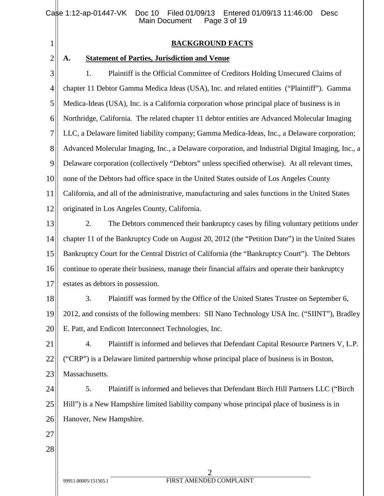|                | Filed 01/09/13 Entered 01/09/13 11:46:00<br>Case 1:12-ap-01447-VK Doc 10<br><b>Desc</b><br><b>Main Document</b><br>Page 3 of 19 |  |
|----------------|---------------------------------------------------------------------------------------------------------------------------------|--|
| $\mathbf{1}$   | <b>BACKGROUND FACTS</b>                                                                                                         |  |
| $\overline{2}$ | <b>Statement of Parties, Jurisdiction and Venue</b><br>A.                                                                       |  |
| 3              | Plaintiff is the Official Committee of Creditors Holding Unsecured Claims of<br>1.                                              |  |
| 4              | chapter 11 Debtor Gamma Medica Ideas (USA), Inc. and related entities ("Plaintiff"). Gamma                                      |  |
| 5              | Medica-Ideas (USA), Inc. is a California corporation whose principal place of business is in                                    |  |
| 6              | Northridge, California. The related chapter 11 debtor entities are Advanced Molecular Imaging                                   |  |
| 7              | LLC, a Delaware limited liability company; Gamma Medica-Ideas, Inc., a Delaware corporation;                                    |  |
| 8              | Advanced Molecular Imaging, Inc., a Delaware corporation, and Industrial Digital Imaging, Inc., a                               |  |
| 9              | Delaware corporation (collectively "Debtors" unless specified otherwise). At all relevant times,                                |  |
| 10             | none of the Debtors had office space in the United States outside of Los Angeles County                                         |  |
| 11             | California, and all of the administrative, manufacturing and sales functions in the United States                               |  |
| 12             | originated in Los Angeles County, California.                                                                                   |  |
| 13             | 2.<br>The Debtors commenced their bankruptcy cases by filing voluntary petitions under                                          |  |
| 14             | chapter 11 of the Bankruptcy Code on August 20, 2012 (the "Petition Date") in the United States                                 |  |
| 15             | Bankruptcy Court for the Central District of California (the "Bankruptcy Court"). The Debtors                                   |  |
| 16             | continue to operate their business, manage their financial affairs and operate their bankruptcy                                 |  |
| 17             | estates as debtors in possession.                                                                                               |  |
| 18             | 3.<br>Plaintiff was formed by the Office of the United States Trustee on September 6,                                           |  |
| 19             | 2012, and consists of the following members: SII Nano Technology USA Inc. ("SIINT"), Bradley                                    |  |
| 20             | E. Patt, and Endicott Interconnect Technologies, Inc.                                                                           |  |
| 21             | Plaintiff is informed and believes that Defendant Capital Resource Partners V, L.P.<br>4.                                       |  |
| 22             | ("CRP") is a Delaware limited partnership whose principal place of business is in Boston,                                       |  |
| 23             | Massachusetts.                                                                                                                  |  |
| 24             | 5.<br>Plaintiff is informed and believes that Defendant Birch Hill Partners LLC ("Birch"                                        |  |
| 25             | Hill") is a New Hampshire limited liability company whose principal place of business is in                                     |  |
| 26             | Hanover, New Hampshire.                                                                                                         |  |
| 27             |                                                                                                                                 |  |
| 28             |                                                                                                                                 |  |
|                |                                                                                                                                 |  |
|                | FIRST AMENDED COMPLAINT<br>99911.00005/151565.1                                                                                 |  |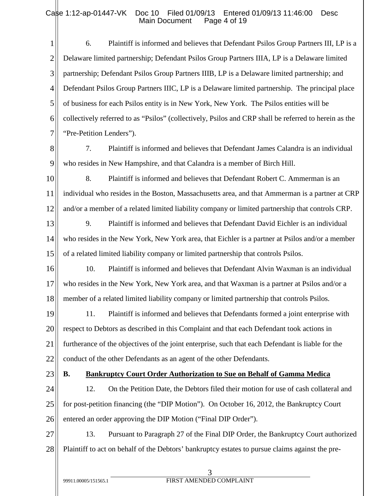1 2 3 4 5 6 7 6. Plaintiff is informed and believes that Defendant Psilos Group Partners III, LP is a Delaware limited partnership; Defendant Psilos Group Partners IIIA, LP is a Delaware limited partnership; Defendant Psilos Group Partners IIIB, LP is a Delaware limited partnership; and Defendant Psilos Group Partners IIIC, LP is a Delaware limited partnership. The principal place of business for each Psilos entity is in New York, New York. The Psilos entities will be collectively referred to as "Psilos" (collectively, Psilos and CRP shall be referred to herein as the "Pre-Petition Lenders").

8

9

7. Plaintiff is informed and believes that Defendant James Calandra is an individual who resides in New Hampshire, and that Calandra is a member of Birch Hill.

10 11 12 8. Plaintiff is informed and believes that Defendant Robert C. Ammerman is an individual who resides in the Boston, Massachusetts area, and that Ammerman is a partner at CRP and/or a member of a related limited liability company or limited partnership that controls CRP.

13 14 15 9. Plaintiff is informed and believes that Defendant David Eichler is an individual who resides in the New York, New York area, that Eichler is a partner at Psilos and/or a member of a related limited liability company or limited partnership that controls Psilos.

16 17 18 10. Plaintiff is informed and believes that Defendant Alvin Waxman is an individual who resides in the New York, New York area, and that Waxman is a partner at Psilos and/or a member of a related limited liability company or limited partnership that controls Psilos.

19 20 21 22 11. Plaintiff is informed and believes that Defendants formed a joint enterprise with respect to Debtors as described in this Complaint and that each Defendant took actions in furtherance of the objectives of the joint enterprise, such that each Defendant is liable for the conduct of the other Defendants as an agent of the other Defendants.

23

## **B. Bankruptcy Court Order Authorization to Sue on Behalf of Gamma Medica**

24 25 26 12. On the Petition Date, the Debtors filed their motion for use of cash collateral and for post-petition financing (the "DIP Motion"). On October 16, 2012, the Bankruptcy Court entered an order approving the DIP Motion ("Final DIP Order").

27 28 13. Pursuant to Paragraph 27 of the Final DIP Order, the Bankruptcy Court authorized Plaintiff to act on behalf of the Debtors' bankruptcy estates to pursue claims against the pre-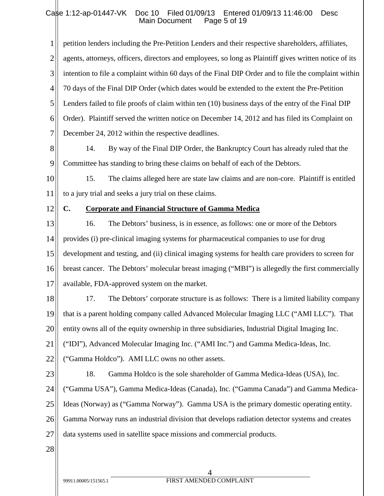1 2 3 4 5 6 7 petition lenders including the Pre-Petition Lenders and their respective shareholders, affiliates, agents, attorneys, officers, directors and employees, so long as Plaintiff gives written notice of its intention to file a complaint within 60 days of the Final DIP Order and to file the complaint within 70 days of the Final DIP Order (which dates would be extended to the extent the Pre-Petition Lenders failed to file proofs of claim within ten (10) business days of the entry of the Final DIP Order). Plaintiff served the written notice on December 14, 2012 and has filed its Complaint on December 24, 2012 within the respective deadlines.

8 9 14. By way of the Final DIP Order, the Bankruptcy Court has already ruled that the Committee has standing to bring these claims on behalf of each of the Debtors.

10 11 15. The claims alleged here are state law claims and are non-core. Plaintiff is entitled to a jury trial and seeks a jury trial on these claims.

12

### **C. Corporate and Financial Structure of Gamma Medica**

13 14 15 16 17 16. The Debtors' business, is in essence, as follows: one or more of the Debtors provides (i) pre-clinical imaging systems for pharmaceutical companies to use for drug development and testing, and (ii) clinical imaging systems for health care providers to screen for breast cancer. The Debtors' molecular breast imaging ("MBI") is allegedly the first commercially available, FDA-approved system on the market.

18 19 20 21 22 17. The Debtors' corporate structure is as follows: There is a limited liability company that is a parent holding company called Advanced Molecular Imaging LLC ("AMI LLC"). That entity owns all of the equity ownership in three subsidiaries, Industrial Digital Imaging Inc. ("IDI"), Advanced Molecular Imaging Inc. ("AMI Inc.") and Gamma Medica-Ideas, Inc. ("Gamma Holdco"). AMI LLC owns no other assets.

- 23 24 25 26 27 18. Gamma Holdco is the sole shareholder of Gamma Medica-Ideas (USA), Inc. ("Gamma USA"), Gamma Medica-Ideas (Canada), Inc. ("Gamma Canada") and Gamma Medica-Ideas (Norway) as ("Gamma Norway"). Gamma USA is the primary domestic operating entity. Gamma Norway runs an industrial division that develops radiation detector systems and creates data systems used in satellite space missions and commercial products.
- 28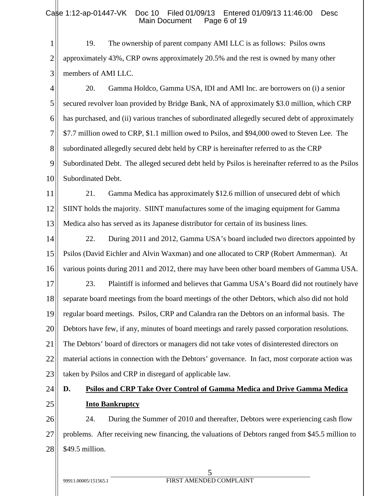#### Case 1:12-ap-01447-VK Doc 10 Filed 01/09/13 Entered 01/09/13 11:46:00 Desc<br>Main Document Page 6 of 19 Main Document

1 2 3 19. The ownership of parent company AMI LLC is as follows: Psilos owns approximately 43%, CRP owns approximately 20.5% and the rest is owned by many other members of AMI LLC.

4 5 6 7 8 9 10 20. Gamma Holdco, Gamma USA, IDI and AMI Inc. are borrowers on (i) a senior secured revolver loan provided by Bridge Bank, NA of approximately \$3.0 million, which CRP has purchased, and (ii) various tranches of subordinated allegedly secured debt of approximately \$7.7 million owed to CRP, \$1.1 million owed to Psilos, and \$94,000 owed to Steven Lee. The subordinated allegedly secured debt held by CRP is hereinafter referred to as the CRP Subordinated Debt. The alleged secured debt held by Psilos is hereinafter referred to as the Psilos Subordinated Debt.

11 12 13 21. Gamma Medica has approximately \$12.6 million of unsecured debt of which SIINT holds the majority. SIINT manufactures some of the imaging equipment for Gamma Medica also has served as its Japanese distributor for certain of its business lines.

14 15 16 22. During 2011 and 2012, Gamma USA's board included two directors appointed by Psilos (David Eichler and Alvin Waxman) and one allocated to CRP (Robert Ammerman). At various points during 2011 and 2012, there may have been other board members of Gamma USA.

17 18 19 20 21 22 23 23. Plaintiff is informed and believes that Gamma USA's Board did not routinely have separate board meetings from the board meetings of the other Debtors, which also did not hold regular board meetings. Psilos, CRP and Calandra ran the Debtors on an informal basis. The Debtors have few, if any, minutes of board meetings and rarely passed corporation resolutions. The Debtors' board of directors or managers did not take votes of disinterested directors on material actions in connection with the Debtors' governance. In fact, most corporate action was taken by Psilos and CRP in disregard of applicable law.

24

## 25

# **D. Psilos and CRP Take Over Control of Gamma Medica and Drive Gamma Medica Into Bankruptcy**

26 27 28 24. During the Summer of 2010 and thereafter, Debtors were experiencing cash flow problems. After receiving new financing, the valuations of Debtors ranged from \$45.5 million to \$49.5 million.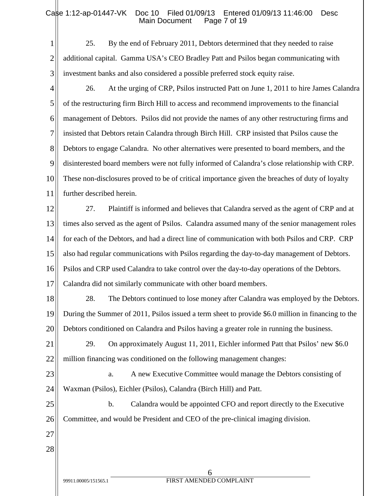1 2 3 25. By the end of February 2011, Debtors determined that they needed to raise additional capital. Gamma USA's CEO Bradley Patt and Psilos began communicating with investment banks and also considered a possible preferred stock equity raise.

4 5 6 7 8 9 10 11 26. At the urging of CRP, Psilos instructed Patt on June 1, 2011 to hire James Calandra of the restructuring firm Birch Hill to access and recommend improvements to the financial management of Debtors. Psilos did not provide the names of any other restructuring firms and insisted that Debtors retain Calandra through Birch Hill. CRP insisted that Psilos cause the Debtors to engage Calandra. No other alternatives were presented to board members, and the disinterested board members were not fully informed of Calandra's close relationship with CRP. These non-disclosures proved to be of critical importance given the breaches of duty of loyalty further described herein.

12 13 14 15 16 27. Plaintiff is informed and believes that Calandra served as the agent of CRP and at times also served as the agent of Psilos. Calandra assumed many of the senior management roles for each of the Debtors, and had a direct line of communication with both Psilos and CRP. CRP also had regular communications with Psilos regarding the day-to-day management of Debtors. Psilos and CRP used Calandra to take control over the day-to-day operations of the Debtors.

17 Calandra did not similarly communicate with other board members.

18 19 20 28. The Debtors continued to lose money after Calandra was employed by the Debtors. During the Summer of 2011, Psilos issued a term sheet to provide \$6.0 million in financing to the Debtors conditioned on Calandra and Psilos having a greater role in running the business.

21 22 29. On approximately August 11, 2011, Eichler informed Patt that Psilos' new \$6.0 million financing was conditioned on the following management changes:

23 24

a. A new Executive Committee would manage the Debtors consisting of Waxman (Psilos), Eichler (Psilos), Calandra (Birch Hill) and Patt.

25 26 b. Calandra would be appointed CFO and report directly to the Executive Committee, and would be President and CEO of the pre-clinical imaging division.

27 28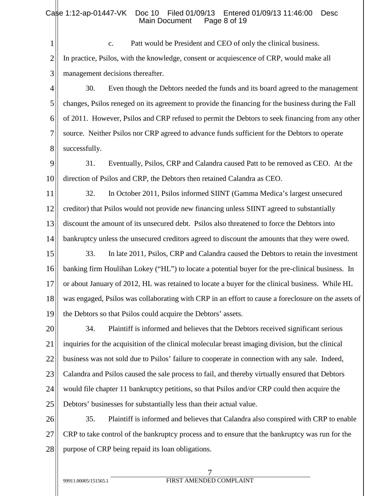1 2 3 c. Patt would be President and CEO of only the clinical business. In practice, Psilos, with the knowledge, consent or acquiescence of CRP, would make all management decisions thereafter.

4 5 6 7 8 30. Even though the Debtors needed the funds and its board agreed to the management changes, Psilos reneged on its agreement to provide the financing for the business during the Fall of 2011. However, Psilos and CRP refused to permit the Debtors to seek financing from any other source. Neither Psilos nor CRP agreed to advance funds sufficient for the Debtors to operate successfully.

- 9 10 31. Eventually, Psilos, CRP and Calandra caused Patt to be removed as CEO. At the direction of Psilos and CRP, the Debtors then retained Calandra as CEO.
- 11 12 13 14 32. In October 2011, Psilos informed SIINT (Gamma Medica's largest unsecured creditor) that Psilos would not provide new financing unless SIINT agreed to substantially discount the amount of its unsecured debt. Psilos also threatened to force the Debtors into bankruptcy unless the unsecured creditors agreed to discount the amounts that they were owed.
- 15 16 17 18 19 33. In late 2011, Psilos, CRP and Calandra caused the Debtors to retain the investment banking firm Houlihan Lokey ("HL") to locate a potential buyer for the pre-clinical business. In or about January of 2012, HL was retained to locate a buyer for the clinical business. While HL was engaged, Psilos was collaborating with CRP in an effort to cause a foreclosure on the assets of the Debtors so that Psilos could acquire the Debtors' assets.

20 21 22 23 24 25 34. Plaintiff is informed and believes that the Debtors received significant serious inquiries for the acquisition of the clinical molecular breast imaging division, but the clinical business was not sold due to Psilos' failure to cooperate in connection with any sale. Indeed, Calandra and Psilos caused the sale process to fail, and thereby virtually ensured that Debtors would file chapter 11 bankruptcy petitions, so that Psilos and/or CRP could then acquire the Debtors' businesses for substantially less than their actual value.

26 27 28 35. Plaintiff is informed and believes that Calandra also conspired with CRP to enable CRP to take control of the bankruptcy process and to ensure that the bankruptcy was run for the purpose of CRP being repaid its loan obligations.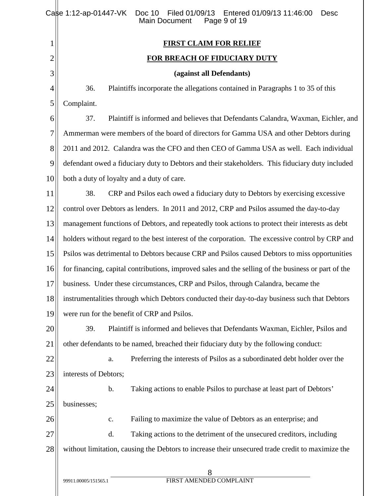|                | Case 1:12-ap-01447-VK<br>Filed 01/09/13 Entered 01/09/13 11:46:00<br>Doc 10<br><b>Desc</b><br><b>Main Document</b><br>Page 9 of 19 |  |  |
|----------------|------------------------------------------------------------------------------------------------------------------------------------|--|--|
| 1              | <b>FIRST CLAIM FOR RELIEF</b>                                                                                                      |  |  |
| 2              | <b>FOR BREACH OF FIDUCIARY DUTY</b>                                                                                                |  |  |
| 3              | (against all Defendants)                                                                                                           |  |  |
| $\overline{4}$ | 36.<br>Plaintiffs incorporate the allegations contained in Paragraphs 1 to 35 of this                                              |  |  |
| 5              | Complaint.                                                                                                                         |  |  |
| 6              | 37.<br>Plaintiff is informed and believes that Defendants Calandra, Waxman, Eichler, and                                           |  |  |
| 7              | Ammerman were members of the board of directors for Gamma USA and other Debtors during                                             |  |  |
| 8              | 2011 and 2012. Calandra was the CFO and then CEO of Gamma USA as well. Each individual                                             |  |  |
| 9              | defendant owed a fiduciary duty to Debtors and their stakeholders. This fiduciary duty included                                    |  |  |
| 10             | both a duty of loyalty and a duty of care.                                                                                         |  |  |
| 11             | 38.<br>CRP and Psilos each owed a fiduciary duty to Debtors by exercising excessive                                                |  |  |
| 12             | control over Debtors as lenders. In 2011 and 2012, CRP and Psilos assumed the day-to-day                                           |  |  |
| 13             | management functions of Debtors, and repeatedly took actions to protect their interests as debt                                    |  |  |
| 14             | holders without regard to the best interest of the corporation. The excessive control by CRP and                                   |  |  |
| 15             | Psilos was detrimental to Debtors because CRP and Psilos caused Debtors to miss opportunities                                      |  |  |
| 16             | for financing, capital contributions, improved sales and the selling of the business or part of the                                |  |  |
| 17             | business. Under these circumstances, CRP and Psilos, through Calandra, became the                                                  |  |  |
| 18             | instrumentalities through which Debtors conducted their day-to-day business such that Debtors                                      |  |  |
| 19             | were run for the benefit of CRP and Psilos.                                                                                        |  |  |
| 20             | 39.<br>Plaintiff is informed and believes that Defendants Waxman, Eichler, Psilos and                                              |  |  |
| 21             | other defendants to be named, breached their fiduciary duty by the following conduct:                                              |  |  |
| 22             | Preferring the interests of Psilos as a subordinated debt holder over the<br>a.                                                    |  |  |
| 23             | interests of Debtors;                                                                                                              |  |  |
| 24             | Taking actions to enable Psilos to purchase at least part of Debtors'<br>b.                                                        |  |  |
| 25             | businesses;                                                                                                                        |  |  |
| 26             | Failing to maximize the value of Debtors as an enterprise; and<br>c.                                                               |  |  |
| 27             | Taking actions to the detriment of the unsecured creditors, including<br>d.                                                        |  |  |
| 28             | without limitation, causing the Debtors to increase their unsecured trade credit to maximize the                                   |  |  |
|                | 8<br>FIRST AMENDED COMPLAINT<br>99911.00005/151565.1                                                                               |  |  |
|                |                                                                                                                                    |  |  |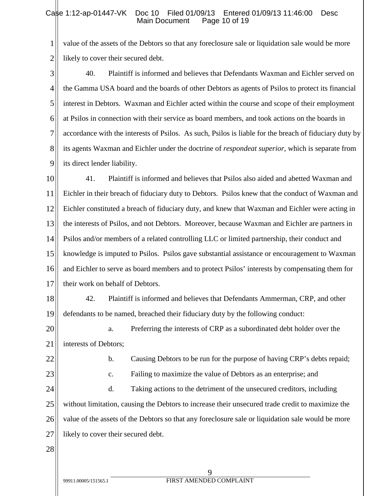1 2 value of the assets of the Debtors so that any foreclosure sale or liquidation sale would be more likely to cover their secured debt.

3 4 5 6 7 8 9 40. Plaintiff is informed and believes that Defendants Waxman and Eichler served on the Gamma USA board and the boards of other Debtors as agents of Psilos to protect its financial interest in Debtors. Waxman and Eichler acted within the course and scope of their employment at Psilos in connection with their service as board members, and took actions on the boards in accordance with the interests of Psilos. As such, Psilos is liable for the breach of fiduciary duty by its agents Waxman and Eichler under the doctrine of *respondeat superior*, which is separate from its direct lender liability.

10 11 12 13 14 15 16 17 41. Plaintiff is informed and believes that Psilos also aided and abetted Waxman and Eichler in their breach of fiduciary duty to Debtors. Psilos knew that the conduct of Waxman and Eichler constituted a breach of fiduciary duty, and knew that Waxman and Eichler were acting in the interests of Psilos, and not Debtors. Moreover, because Waxman and Eichler are partners in Psilos and/or members of a related controlling LLC or limited partnership, their conduct and knowledge is imputed to Psilos. Psilos gave substantial assistance or encouragement to Waxman and Eichler to serve as board members and to protect Psilos' interests by compensating them for their work on behalf of Debtors.

18 19 42. Plaintiff is informed and believes that Defendants Ammerman, CRP, and other defendants to be named, breached their fiduciary duty by the following conduct:

20 21 a. Preferring the interests of CRP as a subordinated debt holder over the interests of Debtors;

22

b. Causing Debtors to be run for the purpose of having CRP's debts repaid;

23

c. Failing to maximize the value of Debtors as an enterprise; and

24 25 26 27 d. Taking actions to the detriment of the unsecured creditors, including without limitation, causing the Debtors to increase their unsecured trade credit to maximize the value of the assets of the Debtors so that any foreclosure sale or liquidation sale would be more likely to cover their secured debt.

28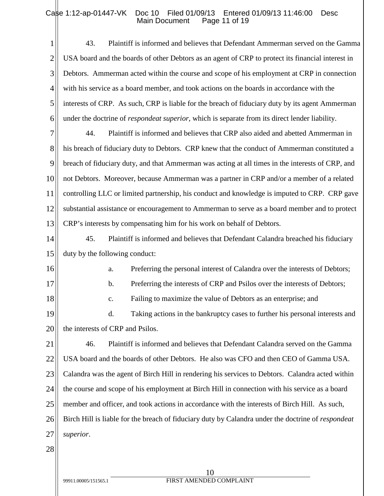| 1              | 43.<br>Plaintiff is informed and believes that Defendant Ammerman served on the Gamma                     |  |
|----------------|-----------------------------------------------------------------------------------------------------------|--|
| $\overline{2}$ | USA board and the boards of other Debtors as an agent of CRP to protect its financial interest in         |  |
| 3              | Debtors. Ammerman acted within the course and scope of his employment at CRP in connection                |  |
| $\overline{4}$ | with his service as a board member, and took actions on the boards in accordance with the                 |  |
|                |                                                                                                           |  |
| 5              | interests of CRP. As such, CRP is liable for the breach of fiduciary duty by its agent Ammerman           |  |
| 6              | under the doctrine of <i>respondeat superior</i> , which is separate from its direct lender liability.    |  |
| 7              | Plaintiff is informed and believes that CRP also aided and abetted Ammerman in<br>44.                     |  |
| 8              | his breach of fiduciary duty to Debtors. CRP knew that the conduct of Ammerman constituted a              |  |
| 9              | breach of fiduciary duty, and that Ammerman was acting at all times in the interests of CRP, and          |  |
| 10             | not Debtors. Moreover, because Ammerman was a partner in CRP and/or a member of a related                 |  |
| 11             | controlling LLC or limited partnership, his conduct and knowledge is imputed to CRP. CRP gave             |  |
| 12             | substantial assistance or encouragement to Ammerman to serve as a board member and to protect             |  |
| 13             | CRP's interests by compensating him for his work on behalf of Debtors.                                    |  |
| 14             | 45.<br>Plaintiff is informed and believes that Defendant Calandra breached his fiduciary                  |  |
| 15             | duty by the following conduct:                                                                            |  |
| 16             | Preferring the personal interest of Calandra over the interests of Debtors;<br>a.                         |  |
| 17             | Preferring the interests of CRP and Psilos over the interests of Debtors;<br>b.                           |  |
| 18             | Failing to maximize the value of Debtors as an enterprise; and<br>c.                                      |  |
| 19             | Taking actions in the bankruptcy cases to further his personal interests and<br>d.                        |  |
| 20             | the interests of CRP and Psilos.                                                                          |  |
| 21             | 46.<br>Plaintiff is informed and believes that Defendant Calandra served on the Gamma                     |  |
| 22             | USA board and the boards of other Debtors. He also was CFO and then CEO of Gamma USA.                     |  |
| 23             | Calandra was the agent of Birch Hill in rendering his services to Debtors. Calandra acted within          |  |
| 24             | the course and scope of his employment at Birch Hill in connection with his service as a board            |  |
| 25             | member and officer, and took actions in accordance with the interests of Birch Hill. As such,             |  |
| 26             | Birch Hill is liable for the breach of fiduciary duty by Calandra under the doctrine of <i>respondeat</i> |  |
| 27             | superior.                                                                                                 |  |
| 28             |                                                                                                           |  |
|                |                                                                                                           |  |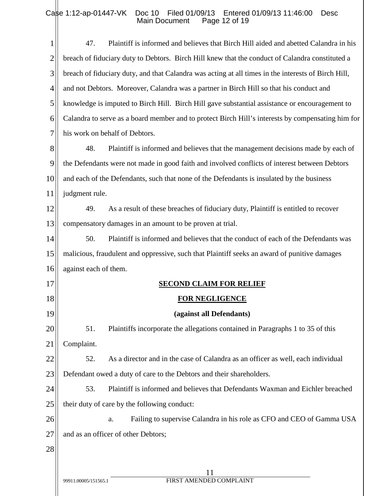| 1              | Plaintiff is informed and believes that Birch Hill aided and abetted Calandra in his<br>47.         |
|----------------|-----------------------------------------------------------------------------------------------------|
| $\overline{2}$ | breach of fiduciary duty to Debtors. Birch Hill knew that the conduct of Calandra constituted a     |
| 3              | breach of fiduciary duty, and that Calandra was acting at all times in the interests of Birch Hill, |
| $\overline{4}$ | and not Debtors. Moreover, Calandra was a partner in Birch Hill so that his conduct and             |
| 5              | knowledge is imputed to Birch Hill. Birch Hill gave substantial assistance or encouragement to      |
| 6              | Calandra to serve as a board member and to protect Birch Hill's interests by compensating him for   |
| $\overline{7}$ | his work on behalf of Debtors.                                                                      |
| 8              | Plaintiff is informed and believes that the management decisions made by each of<br>48.             |
| 9              | the Defendants were not made in good faith and involved conflicts of interest between Debtors       |
| 10             | and each of the Defendants, such that none of the Defendants is insulated by the business           |
| 11             | judgment rule.                                                                                      |
| 12             | As a result of these breaches of fiduciary duty, Plaintiff is entitled to recover<br>49.            |
| 13             | compensatory damages in an amount to be proven at trial.                                            |
| 14             | Plaintiff is informed and believes that the conduct of each of the Defendants was<br>50.            |
| 15             | malicious, fraudulent and oppressive, such that Plaintiff seeks an award of punitive damages        |
| 16             | against each of them.                                                                               |
| 17             | <b>SECOND CLAIM FOR RELIEF</b>                                                                      |
| 18             | <b>FOR NEGLIGENCE</b>                                                                               |
| 19             | (against all Defendants)                                                                            |
| 20             | Plaintiffs incorporate the allegations contained in Paragraphs 1 to 35 of this<br>51.               |
| 21             | Complaint.                                                                                          |
| 22             | As a director and in the case of Calandra as an officer as well, each individual<br>52.             |
| 23             | Defendant owed a duty of care to the Debtors and their shareholders.                                |
| 24             | 53.<br>Plaintiff is informed and believes that Defendants Waxman and Eichler breached               |
| 25             | their duty of care by the following conduct:                                                        |
| 26             | Failing to supervise Calandra in his role as CFO and CEO of Gamma USA<br>a.                         |
| 27             | and as an officer of other Debtors;                                                                 |
| 28             |                                                                                                     |
|                | 11                                                                                                  |
|                | FIRST AMENDED COMPLAINT<br>99911.00005/151565.1                                                     |
|                |                                                                                                     |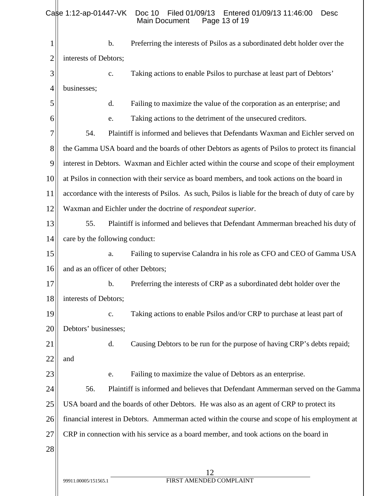| 1  | Preferring the interests of Psilos as a subordinated debt holder over the<br>b.                      |  |
|----|------------------------------------------------------------------------------------------------------|--|
| 2  | interests of Debtors;                                                                                |  |
| 3  | Taking actions to enable Psilos to purchase at least part of Debtors'<br>c.                          |  |
| 4  | businesses;                                                                                          |  |
| 5  | Failing to maximize the value of the corporation as an enterprise; and<br>d.                         |  |
| 6  | Taking actions to the detriment of the unsecured creditors.<br>e.                                    |  |
| 7  | Plaintiff is informed and believes that Defendants Waxman and Eichler served on<br>54.               |  |
| 8  | the Gamma USA board and the boards of other Debtors as agents of Psilos to protect its financial     |  |
| 9  | interest in Debtors. Waxman and Eichler acted within the course and scope of their employment        |  |
| 10 | at Psilos in connection with their service as board members, and took actions on the board in        |  |
| 11 | accordance with the interests of Psilos. As such, Psilos is liable for the breach of duty of care by |  |
| 12 | Waxman and Eichler under the doctrine of <i>respondeat superior</i> .                                |  |
| 13 | Plaintiff is informed and believes that Defendant Ammerman breached his duty of<br>55.               |  |
| 14 | care by the following conduct:                                                                       |  |
| 15 | Failing to supervise Calandra in his role as CFO and CEO of Gamma USA<br>a.                          |  |
| 16 | and as an officer of other Debtors;                                                                  |  |
| 17 | b.<br>Preferring the interests of CRP as a subordinated debt holder over the                         |  |
| 18 | interests of Debtors;                                                                                |  |
| 19 | Taking actions to enable Psilos and/or CRP to purchase at least part of<br>$\mathbf{c}$ .            |  |
| 20 | Debtors' businesses;                                                                                 |  |
| 21 | d.<br>Causing Debtors to be run for the purpose of having CRP's debts repaid;                        |  |
| 22 | and                                                                                                  |  |
| 23 | Failing to maximize the value of Debtors as an enterprise.<br>e.                                     |  |
| 24 | 56.<br>Plaintiff is informed and believes that Defendant Ammerman served on the Gamma                |  |
| 25 | USA board and the boards of other Debtors. He was also as an agent of CRP to protect its             |  |
| 26 | financial interest in Debtors. Ammerman acted within the course and scope of his employment at       |  |
| 27 | CRP in connection with his service as a board member, and took actions on the board in               |  |
| 28 |                                                                                                      |  |
|    | 12                                                                                                   |  |
|    | FIRST AMENDED COMPLAINT<br>99911.00005/151565.1                                                      |  |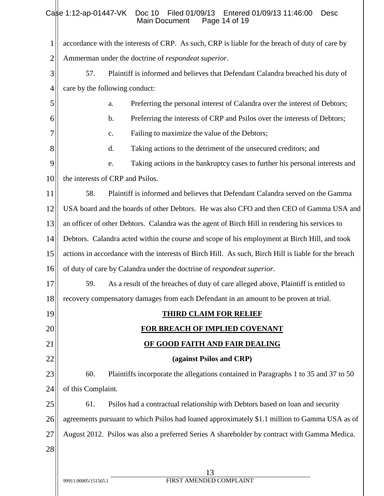| 1              | accordance with the interests of CRP. As such, CRP is liable for the breach of duty of care by       |  |
|----------------|------------------------------------------------------------------------------------------------------|--|
| $\overline{c}$ | Ammerman under the doctrine of <i>respondeat superior</i> .                                          |  |
| 3              | Plaintiff is informed and believes that Defendant Calandra breached his duty of<br>57.               |  |
| $\overline{4}$ | care by the following conduct:                                                                       |  |
| 5              | Preferring the personal interest of Calandra over the interest of Debtors;<br>a.                     |  |
| 6              | Preferring the interests of CRP and Psilos over the interests of Debtors;<br>b.                      |  |
| 7              | Failing to maximize the value of the Debtors;<br>c.                                                  |  |
| 8              | d.<br>Taking actions to the detriment of the unsecured creditors; and                                |  |
| 9              | Taking actions in the bankruptcy cases to further his personal interests and<br>e.                   |  |
| 10             | the interests of CRP and Psilos.                                                                     |  |
| 11             | 58.<br>Plaintiff is informed and believes that Defendant Calandra served on the Gamma                |  |
| 12             | USA board and the boards of other Debtors. He was also CFO and then CEO of Gamma USA and             |  |
| 13             | an officer of other Debtors. Calandra was the agent of Birch Hill in rendering his services to       |  |
| 14             | Debtors. Calandra acted within the course and scope of his employment at Birch Hill, and took        |  |
| 15             | actions in accordance with the interests of Birch Hill. As such, Birch Hill is liable for the breach |  |
| 16             | of duty of care by Calandra under the doctrine of respondeat superior.                               |  |
| 17             | 59.<br>As a result of the breaches of duty of care alleged above, Plaintiff is entitled to           |  |
| 18             | recovery compensatory damages from each Defendant in an amount to be proven at trial.                |  |
| 19             | <b>THIRD CLAIM FOR RELIEF</b>                                                                        |  |
| 20             | FOR BREACH OF IMPLIED COVENANT                                                                       |  |
| 21             | OF GOOD FAITH AND FAIR DEALING                                                                       |  |
| 22             | (against Psilos and CRP)                                                                             |  |
| 23             | 60.<br>Plaintiffs incorporate the allegations contained in Paragraphs 1 to 35 and 37 to 50           |  |
| 24             | of this Complaint.                                                                                   |  |
| 25             | Psilos had a contractual relationship with Debtors based on loan and security<br>61.                 |  |
| 26             | agreements pursuant to which Psilos had loaned approximately \$1.1 million to Gamma USA as of        |  |
| 27             | August 2012. Psilos was also a preferred Series A shareholder by contract with Gamma Medica.         |  |
| 28             |                                                                                                      |  |
|                | 13                                                                                                   |  |
|                |                                                                                                      |  |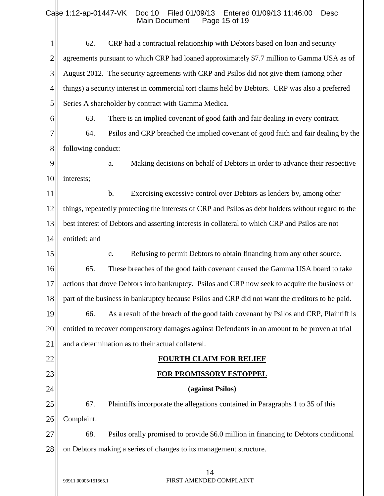| 1              | 62.                                                                | CRP had a contractual relationship with Debtors based on loan and security                          |
|----------------|--------------------------------------------------------------------|-----------------------------------------------------------------------------------------------------|
| $\overline{2}$ |                                                                    | agreements pursuant to which CRP had loaned approximately \$7.7 million to Gamma USA as of          |
| 3              |                                                                    | August 2012. The security agreements with CRP and Psilos did not give them (among other             |
| $\overline{4}$ |                                                                    | things) a security interest in commercial tort claims held by Debtors. CRP was also a preferred     |
| 5              |                                                                    | Series A shareholder by contract with Gamma Medica.                                                 |
| 6              | 63.                                                                | There is an implied covenant of good faith and fair dealing in every contract.                      |
| 7              | 64.                                                                | Psilos and CRP breached the implied covenant of good faith and fair dealing by the                  |
| 8              | following conduct:                                                 |                                                                                                     |
| 9              |                                                                    | Making decisions on behalf of Debtors in order to advance their respective<br>a.                    |
| 10             | interests;                                                         |                                                                                                     |
| 11             |                                                                    | Exercising excessive control over Debtors as lenders by, among other<br>b.                          |
| 12             |                                                                    | things, repeatedly protecting the interests of CRP and Psilos as debt holders without regard to the |
| 13             |                                                                    | best interest of Debtors and asserting interests in collateral to which CRP and Psilos are not      |
| 14             | entitled; and                                                      |                                                                                                     |
| 15             |                                                                    | Refusing to permit Debtors to obtain financing from any other source.<br>$C_{\bullet}$              |
| 16             | 65.                                                                | These breaches of the good faith covenant caused the Gamma USA board to take                        |
| 17             |                                                                    | actions that drove Debtors into bankruptcy. Psilos and CRP now seek to acquire the business or      |
| 18             |                                                                    | part of the business in bankruptcy because Psilos and CRP did not want the creditors to be paid.    |
| 19             |                                                                    | 66. As a result of the breach of the good faith covenant by Psilos and CRP, Plaintiff is            |
| 20             |                                                                    | entitled to recover compensatory damages against Defendants in an amount to be proven at trial      |
| 21             |                                                                    | and a determination as to their actual collateral.                                                  |
| 22             |                                                                    | <b>FOURTH CLAIM FOR RELIEF</b>                                                                      |
| 23             |                                                                    | <b>FOR PROMISSORY ESTOPPEL</b>                                                                      |
| 24             |                                                                    | (against Psilos)                                                                                    |
| 25             | 67.                                                                | Plaintiffs incorporate the allegations contained in Paragraphs 1 to 35 of this                      |
| 26             | Complaint.                                                         |                                                                                                     |
| 27             | 68.                                                                | Psilos orally promised to provide \$6.0 million in financing to Debtors conditional                 |
| 28             | on Debtors making a series of changes to its management structure. |                                                                                                     |
|                |                                                                    | 14                                                                                                  |
|                | 99911.00005/151565.1                                               | FIRST AMENDED COMPLAINT                                                                             |
|                |                                                                    |                                                                                                     |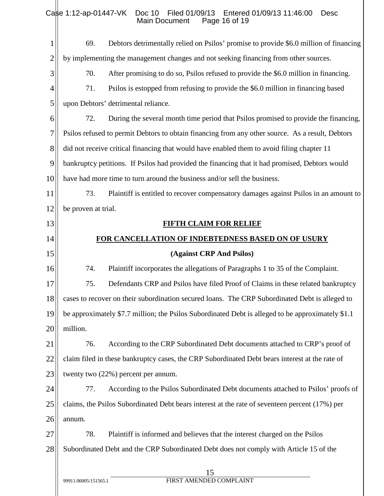| $\mathbf{1}$   | 69.                  | Debtors detrimentally relied on Psilos' promise to provide \$6.0 million of financing             |
|----------------|----------------------|---------------------------------------------------------------------------------------------------|
| $\overline{2}$ |                      | by implementing the management changes and not seeking financing from other sources.              |
| 3              | 70.                  | After promising to do so, Psilos refused to provide the \$6.0 million in financing.               |
| 4              | 71.                  | Psilos is estopped from refusing to provide the \$6.0 million in financing based                  |
| 5              |                      | upon Debtors' detrimental reliance.                                                               |
| 6              | 72.                  | During the several month time period that Psilos promised to provide the financing,               |
| 7              |                      | Psilos refused to permit Debtors to obtain financing from any other source. As a result, Debtors  |
| 8              |                      | did not receive critical financing that would have enabled them to avoid filing chapter 11        |
| 9              |                      | bankruptcy petitions. If Psilos had provided the financing that it had promised, Debtors would    |
| 10             |                      | have had more time to turn around the business and/or sell the business.                          |
| 11             | 73.                  | Plaintiff is entitled to recover compensatory damages against Psilos in an amount to              |
| 12             | be proven at trial.  |                                                                                                   |
| 13             |                      | <b>FIFTH CLAIM FOR RELIEF</b>                                                                     |
| 14             |                      | FOR CANCELLATION OF INDEBTEDNESS BASED ON OF USURY                                                |
| 15             |                      | (Against CRP And Psilos)                                                                          |
| 16             | 74.                  | Plaintiff incorporates the allegations of Paragraphs 1 to 35 of the Complaint.                    |
| 17             | 75.                  | Defendants CRP and Psilos have filed Proof of Claims in these related bankruptcy                  |
| 18             |                      | cases to recover on their subordination secured loans. The CRP Subordinated Debt is alleged to    |
| 19             |                      | be approximately \$7.7 million; the Psilos Subordinated Debt is alleged to be approximately \$1.1 |
| 20             | million.             |                                                                                                   |
| 21             | 76.                  | According to the CRP Subordinated Debt documents attached to CRP's proof of                       |
| 22             |                      | claim filed in these bankruptcy cases, the CRP Subordinated Debt bears interest at the rate of    |
| 23             |                      | twenty two (22%) percent per annum.                                                               |
| 24             | 77.                  | According to the Psilos Subordinated Debt documents attached to Psilos' proofs of                 |
| 25             |                      | claims, the Psilos Subordinated Debt bears interest at the rate of seventeen percent (17%) per    |
| 26             | annum.               |                                                                                                   |
| 27             | 78.                  | Plaintiff is informed and believes that the interest charged on the Psilos                        |
| 28             |                      | Subordinated Debt and the CRP Subordinated Debt does not comply with Article 15 of the            |
|                |                      | 15                                                                                                |
|                | 99911.00005/151565.1 | FIRST AMENDED COMPLAINT                                                                           |
|                |                      |                                                                                                   |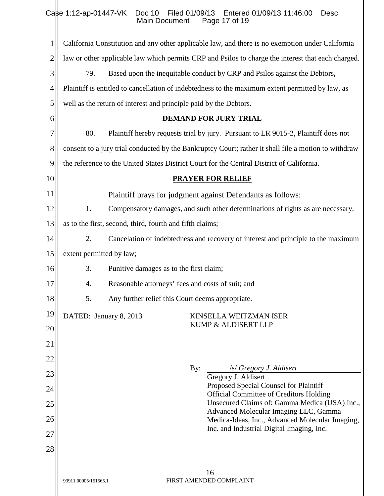| $\mathbf{1}$ | California Constitution and any other applicable law, and there is no exemption under California     |
|--------------|------------------------------------------------------------------------------------------------------|
| 2            | law or other applicable law which permits CRP and Psilos to charge the interest that each charged.   |
| 3            | 79.<br>Based upon the inequitable conduct by CRP and Psilos against the Debtors,                     |
| 4            | Plaintiff is entitled to cancellation of indebtedness to the maximum extent permitted by law, as     |
| 5            | well as the return of interest and principle paid by the Debtors.                                    |
| 6            | <b>DEMAND FOR JURY TRIAL</b>                                                                         |
| 7            | 80.<br>Plaintiff hereby requests trial by jury. Pursuant to LR 9015-2, Plaintiff does not            |
| $8\,$        | consent to a jury trial conducted by the Bankruptcy Court; rather it shall file a motion to withdraw |
| 9            | the reference to the United States District Court for the Central District of California.            |
| 10           | <b>PRAYER FOR RELIEF</b>                                                                             |
| 11           | Plaintiff prays for judgment against Defendants as follows:                                          |
| 12           | 1.<br>Compensatory damages, and such other determinations of rights as are necessary,                |
| 13           | as to the first, second, third, fourth and fifth claims;                                             |
| 14           | 2.<br>Cancelation of indebtedness and recovery of interest and principle to the maximum              |
| 15           | extent permitted by law;                                                                             |
| 16           | 3.<br>Punitive damages as to the first claim;                                                        |
| 17           | Reasonable attorneys' fees and costs of suit; and<br>4.                                              |
| 18           | 5.<br>Any further relief this Court deems appropriate.                                               |
| 19           | DATED: January 8, 2013<br>KINSELLA WEITZMAN ISER                                                     |
| 20           | KUMP & ALDISERT LLP                                                                                  |
| 21           |                                                                                                      |
| 22           | /s/ Gregory J. Aldisert<br>By:                                                                       |
| 23           | Gregory J. Aldisert                                                                                  |
| 24           | Proposed Special Counsel for Plaintiff<br><b>Official Committee of Creditors Holding</b>             |
| 25           | Unsecured Claims of: Gamma Medica (USA) Inc.,<br>Advanced Molecular Imaging LLC, Gamma               |
| 26           | Medica-Ideas, Inc., Advanced Molecular Imaging,<br>Inc. and Industrial Digital Imaging, Inc.         |
| 27           |                                                                                                      |
| 28           |                                                                                                      |
|              | 16                                                                                                   |
|              | FIRST AMENDED COMPLAINT<br>99911.00005/151565.1                                                      |
|              |                                                                                                      |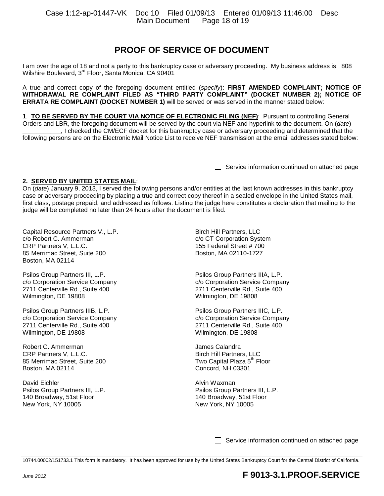## **PROOF OF SERVICE OF DOCUMENT**

I am over the age of 18 and not a party to this bankruptcy case or adversary proceeding. My business address is: 808 Wilshire Boulevard, 3rd Floor, Santa Monica, CA 90401

A true and correct copy of the foregoing document entitled (*specify*): **FIRST AMENDED COMPLAINT; NOTICE OF WITHDRAWAL RE COMPLAINT FILED AS "THIRD PARTY COMPLAINT" (DOCKET NUMBER 2); NOTICE OF ERRATA RE COMPLAINT (DOCKET NUMBER 1)** will be served or was served in the manner stated below:

**1**. **TO BE SERVED BY THE COURT VIA NOTICE OF ELECTRONIC FILING (NEF)**: Pursuant to controlling General Orders and LBR, the foregoing document will be served by the court via NEF and hyperlink to the document. On (*date*) \_\_\_\_\_\_\_\_\_\_\_, I checked the CM/ECF docket for this bankruptcy case or adversary proceeding and determined that the following persons are on the Electronic Mail Notice List to receive NEF transmission at the email addresses stated below:

Service information continued on attached page

#### **2. SERVED BY UNITED STATES MAIL**:

On (*date*) January 9, 2013, I served the following persons and/or entities at the last known addresses in this bankruptcy case or adversary proceeding by placing a true and correct copy thereof in a sealed envelope in the United States mail, first class, postage prepaid, and addressed as follows. Listing the judge here constitutes a declaration that mailing to the judge will be completed no later than 24 hours after the document is filed.

Capital Resource Partners V., L.P. c/o Robert C. Ammerman CRP Partners V, L.L.C. 85 Merrimac Street, Suite 200 Boston, MA 02114

Psilos Group Partners III, L.P. c/o Corporation Service Company 2711 Centerville Rd., Suite 400 Wilmington, DE 19808

Psilos Group Partners IIIB, L.P. c/o Corporation Service Company 2711 Centerville Rd., Suite 400 Wilmington, DE 19808

Robert C. Ammerman CRP Partners V, L.L.C. 85 Merrimac Street, Suite 200 Boston, MA 02114

David Eichler Psilos Group Partners III, L.P. 140 Broadway, 51st Floor New York, NY 10005

Birch Hill Partners, LLC c/o CT Corporation System 155 Federal Street # 700 Boston, MA 02110-1727

Psilos Group Partners IIIA, L.P. c/o Corporation Service Company 2711 Centerville Rd., Suite 400 Wilmington, DE 19808

Psilos Group Partners IIIC, L.P. c/o Corporation Service Company 2711 Centerville Rd., Suite 400 Wilmington, DE 19808

James Calandra Birch Hill Partners, LLC Two Capital Plaza 5<sup>th</sup> Floor Concord, NH 03301

Alvin Waxman Psilos Group Partners III, L.P. 140 Broadway, 51st Floor New York, NY 10005

Service information continued on attached page

10744.00002/151733.1 This form is mandatory. It has been approved for use by the United States Bankruptcy Court for the Central District of California.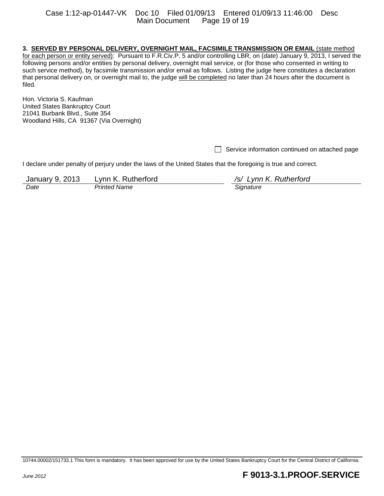#### **3. SERVED BY PERSONAL DELIVERY, OVERNIGHT MAIL, FACSIMILE TRANSMISSION OR EMAIL** (state method

for each person or entity served): Pursuant to F.R.Civ.P. 5 and/or controlling LBR, on (*date*) January 9, 2013, I served the following persons and/or entities by personal delivery, overnight mail service, or (for those who consented in writing to such service method), by facsimile transmission and/or email as follows. Listing the judge here constitutes a declaration that personal delivery on, or overnight mail to, the judge will be completed no later than 24 hours after the document is filed.

Hon. Victoria S. Kaufman United States Bankruptcy Court 21041 Burbank Blvd., Suite 354 Woodland Hills, CA 91367 (Via Overnight)

 $\Box$  Service information continued on attached page

I declare under penalty of perjury under the laws of the United States that the foregoing is true and correct.

January 9, 2013 Lynn K. Rutherford */s/ Lynn K. Rutherford Date Printed Name* 

<sup>10744.00002/151733.1</sup> This form is mandatory. It has been approved for use by the United States Bankruptcy Court for the Central District of California.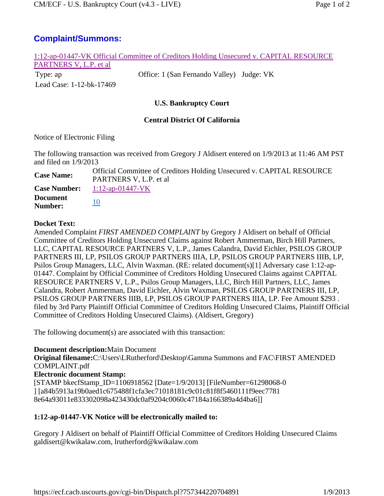## **Complaint/Summons:**

| 1:12-ap-01447-VK Official Committee of Creditors Holding Unsecured v. CAPITAL RESOURCE |                                           |  |
|----------------------------------------------------------------------------------------|-------------------------------------------|--|
| PARTNERS V, L.P. et al.                                                                |                                           |  |
| Type: ap                                                                               | Office: 1 (San Fernando Valley) Judge: VK |  |
| Lead Case: 1-12-bk-17469                                                               |                                           |  |
|                                                                                        |                                           |  |
| <b>U.S. Bankruptcy Court</b>                                                           |                                           |  |
| <b>Central District Of California</b>                                                  |                                           |  |
| Notice of Electronic Filing                                                            |                                           |  |

The following transaction was received from Gregory J Aldisert entered on 1/9/2013 at 11:46 AM PST and filed on 1/9/2013

Case Name: Official Committee of Creditors Holding Unsecured v. CAPITAL RESOURCE PARTNERS V, L.P. et al **Case Number:** 1:12-ap-01447-VK **Document Number:** 10

#### **Docket Text:**

Amended Complaint *FIRST AMENDED COMPLAINT* by Gregory J Aldisert on behalf of Official Committee of Creditors Holding Unsecured Claims against Robert Ammerman, Birch Hill Partners, LLC, CAPITAL RESOURCE PARTNERS V, L.P., James Calandra, David Eichler, PSILOS GROUP PARTNERS III, LP, PSILOS GROUP PARTNERS IIIA, LP, PSILOS GROUP PARTNERS IIIB, LP, Psilos Group Managers, LLC, Alvin Waxman. (RE: related document(s)[1] Adversary case 1:12-ap-01447. Complaint by Official Committee of Creditors Holding Unsecured Claims against CAPITAL RESOURCE PARTNERS V, L.P., Psilos Group Managers, LLC, Birch Hill Partners, LLC, James Calandra, Robert Ammerman, David Eichler, Alvin Waxman, PSILOS GROUP PARTNERS III, LP, PSILOS GROUP PARTNERS IIIB, LP, PSILOS GROUP PARTNERS IIIA, LP. Fee Amount \$293 . filed by 3rd Party Plaintiff Official Committee of Creditors Holding Unsecured Claims, Plaintiff Official Committee of Creditors Holding Unsecured Claims). (Aldisert, Gregory)

The following document(s) are associated with this transaction:

#### **Document description:**Main Document

**Original filename:**C:\Users\LRutherford\Desktop\Gamma Summons and FAC\FIRST AMENDED COMPLAINT.pdf **Electronic document Stamp:** [STAMP bkecfStamp\_ID=1106918562 [Date=1/9/2013] [FileNumber=61298068-0 ] [a84b5913a19b0aed1c675488f1cfa3ec71018181c9c01c81f8f5460111f9eec7781 8e64a93011e833302098a423430dc0af9204c0060c47184a166389a4d4ba6]]

### **1:12-ap-01447-VK Notice will be electronically mailed to:**

Gregory J Aldisert on behalf of Plaintiff Official Committee of Creditors Holding Unsecured Claims galdisert@kwikalaw.com, lrutherford@kwikalaw.com